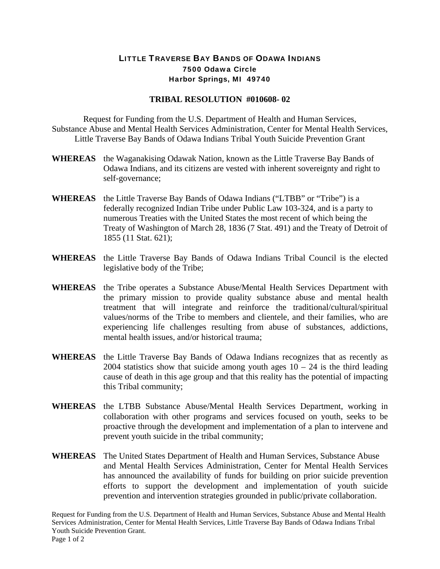## LITTLE TRAVERSE BAY BANDS OF ODAWA INDIANS 7500 Odawa Circle Harbor Springs, MI 49740

## **TRIBAL RESOLUTION #010608- 02**

Request for Funding from the U.S. Department of Health and Human Services, Substance Abuse and Mental Health Services Administration, Center for Mental Health Services, Little Traverse Bay Bands of Odawa Indians Tribal Youth Suicide Prevention Grant

- **WHEREAS** the Waganakising Odawak Nation, known as the Little Traverse Bay Bands of Odawa Indians, and its citizens are vested with inherent sovereignty and right to self-governance;
- **WHEREAS** the Little Traverse Bay Bands of Odawa Indians ("LTBB" or "Tribe") is a federally recognized Indian Tribe under Public Law 103-324, and is a party to numerous Treaties with the United States the most recent of which being the Treaty of Washington of March 28, 1836 (7 Stat. 491) and the Treaty of Detroit of 1855 (11 Stat. 621);
- **WHEREAS** the Little Traverse Bay Bands of Odawa Indians Tribal Council is the elected legislative body of the Tribe;
- **WHEREAS** the Tribe operates a Substance Abuse/Mental Health Services Department with the primary mission to provide quality substance abuse and mental health treatment that will integrate and reinforce the traditional/cultural/spiritual values/norms of the Tribe to members and clientele, and their families, who are experiencing life challenges resulting from abuse of substances, addictions, mental health issues, and/or historical trauma;
- **WHEREAS** the Little Traverse Bay Bands of Odawa Indians recognizes that as recently as 2004 statistics show that suicide among youth ages  $10 - 24$  is the third leading cause of death in this age group and that this reality has the potential of impacting this Tribal community;
- **WHEREAS** the LTBB Substance Abuse/Mental Health Services Department, working in collaboration with other programs and services focused on youth, seeks to be proactive through the development and implementation of a plan to intervene and prevent youth suicide in the tribal community;
- **WHEREAS** The United States Department of Health and Human Services, Substance Abuse and Mental Health Services Administration, Center for Mental Health Services has announced the availability of funds for building on prior suicide prevention efforts to support the development and implementation of youth suicide prevention and intervention strategies grounded in public/private collaboration.